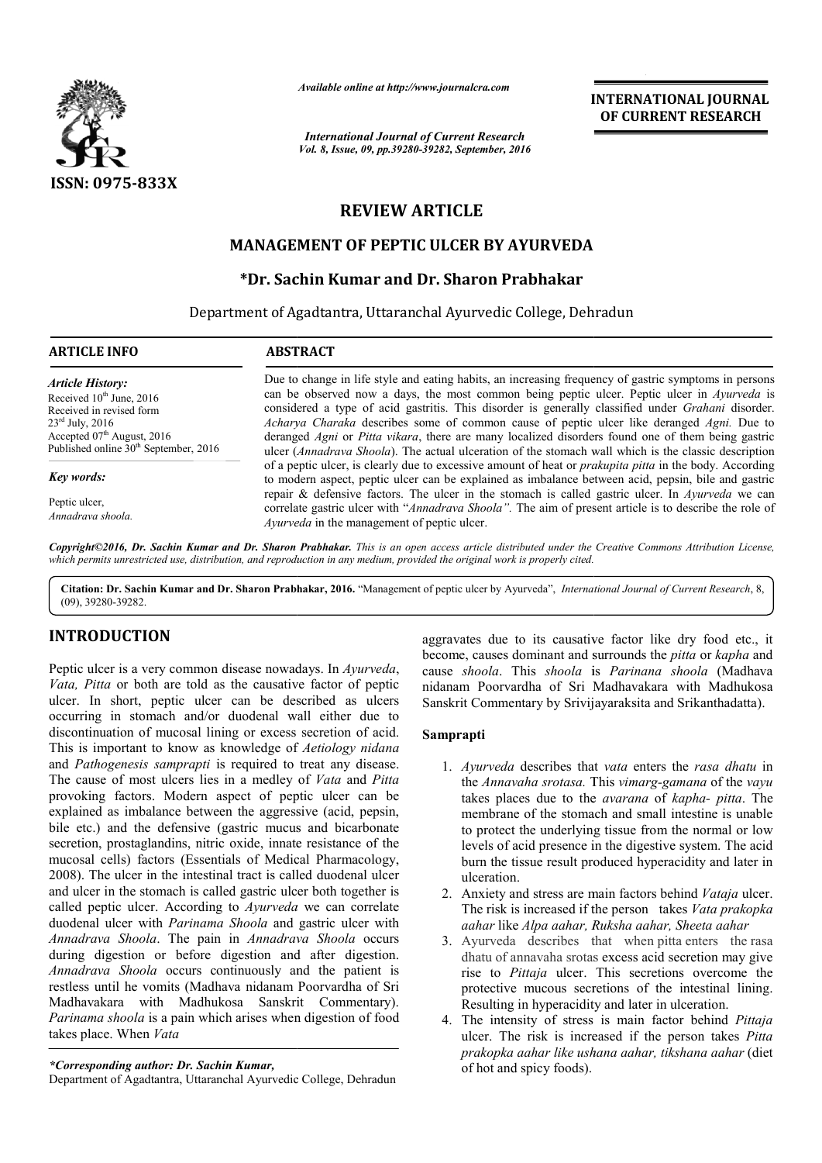

*Available online at http://www.journalcra.com*

*International Journal of Current Research Vol. 8, Issue, 09, pp.39280-39282, September, 2016* INTERNATIONAL JOURNAL OF CURRENT RESEARCH

# REVIEW ARTICLE

# MANAGEMENT OF PEPTIC ULCER BY AYURVEDA

# \*Dr. Sachin Kumar and Dr. Sharon Prabhakar

Department of Agadtantra, Uttaranchal Ayurvedic College, Dehradun  $\overline{a}$ 

#### ARTICLE INFO ABSTRACT

*Article History:* Received 10<sup>th</sup> June, 2016 Received in revised form 23rd July, 2016 Accepted 07<sup>th</sup> August, 2016 Published online  $30<sup>th</sup>$  September, 2016

*Key words:*

Peptic ulcer, *Annadrava shoola.* Due to change in life style and eating habits, an increasing frequency of gastric symptoms in persons Due to change in life style and eating habits, an increasing frequency of gastric symptoms in persons can be observed now a days, the most common being peptic ulcer. Peptic ulcer in *Ayurveda* is considered a type of acid gastritis. This disorder is generally classified under *Grahani* disorder. Acharya Charaka describes some of common cause of peptic ulcer like deranged Agni. Due to deranged *Agni* or *Pitta vikara*, there are many localized disorders found one of them being gastric deranged *Agni* or *Pitta vikara*, there are many localized disorders found one of them being gastric ulcer (*Annadrava Shoola*). The actual ulceration of the stomach wall which is the classic description of a peptic ulcer, is clearly due to excessive amount of heat or *prakupita pitta* in the body. According to modern aspect, peptic ulcer can be explained as imbalance between acid, pepsin, bile and gastric repair & defensive factors. The ulcer in the stomach is called gastric ulcer. In Ayurveda we can correlate gastric ulcer with "*Annadrava Shoola"*. The aim of present article is to describe the role of *Ayurveda* in the management of peptic ulcer.

*Copyright©2016, Dr. Sachin Kumar and Dr. Sharon Prabhakar Prabhakar. This is an open access article distributed under the Creative Commons Att Creative Attribution License,*  which permits unrestricted use, distribution, and reproduction in any medium, provided the original work is properly cited.

Citation: Dr. Sachin Kumar and Dr. Sharon Prabhakar, 2016. "Management of peptic ulcer by Ayurveda", *International Journal of Current Research*, 8, (09), 39280-39282.

# INTRODUCTION

Peptic ulcer is a very common disease nowadays. In *Ayurveda*, *Vata, Pitta* or both are told as the causative factor of peptic ulcer. In short, peptic ulcer can be described as ulcers occurring in stomach and/or duodenal wall either due to discontinuation of mucosal lining or excess secretion of acid. This is important to know as knowledge of *Aetiology nidana*  and *Pathogenesis samprapti* is required to treat any disease. The cause of most ulcers lies in a medley of *Vata* and *Pitta* provoking factors. Modern aspect of peptic ulcer can be explained as imbalance between the aggressive (acid, pepsin, bile etc.) and the defensive (gastric mucus and bicarbonate secretion, prostaglandins, nitric oxide, innate resistance of the mucosal cells) factors (Essentials of Medical Pharmacology, 2008). The ulcer in the intestinal tract is called duodenal ulcer and ulcer in the stomach is called gastric ulcer both together is called peptic ulcer. According to *Ayurveda*  duodenal ulcer with *Parinama Shoola* and gastric ulcer with *Annadrava Shoola*. The pain in *Annadrava Shoola* occurs during digestion or before digestion and after digestion. *Annadrava Shoola* occurs continuously and the patient is restless until he vomits (Madhava nidanam Poorvardha of Sri restless until he vomits (Madhava nidanam Poorvardha of Sri<br>Madhavakara with Madhukosa Sanskrit Commentary). *Parinama shoola* is a pain which arises when digestion of food takes place. When *Vata* Essentials of Medical Pharmacology,<br>intestinal tract is called duodenal ulcer<br>is called gastric ulcer both together is<br>ording to *Ayurveda* we can correlate

Department of Agadtantra, Uttaranchal Ayurvedic College, Dehradun

aggravates due to its causative factor like dry food etc., it become, causes dominant and surrounds the *pitta* or *kapha* and cause shoola. This shoola is Parinana shoola (Madhava nidanam Poorvardha of Sri Madhavakara with Madhukosa nidanam Poorvardha of Sri Madhavakara with Madhukos<br>Sanskrit Commentary by Srivijayaraksita and Srikanthadatta).

## Samprapti

- 1. *Ayurveda* describes that *vata* enters the *rasa dhatu* in the *Annavaha srotasa.* This This *vimarg-gamana* of the *vayu*  takes places due to the *avarana* of *kapha- pitta*. The membrane of the stomach and small intestine is unable membrane of the stomach and small intestine is unable<br>to protect the underlying tissue from the normal or low levels of acid presence in the digestive system. The acid burn the tissue result produced hyperacidity and later in ulceration. 2. Anxiety and stress are main factors behind *Vataja* ulceration.<br>
2. Anxiety and stress are main factors behind *Vataja* ulcer.
- The risk is increased if the person takes *Vata prakopka aahar* like *Alpa aahar, Ruk Ruksha aahar, Sheeta aahar*
- 3. Ayurveda describes that when pitta enters the rasa dhatu of annavaha srotas excess acid secretion may give rise to *Pittaja* ulcer. This secretions overcome the protective mucous secretions of the intestinal lining. Resulting in hyperacidity and later in ulceration.
- Resulting in hyperacidity and later in ulceration.<br>4. The intensity of stress is main factor behind *Pittaja* ulcer. The risk is increased if the person takes *Pitta prakopka aahar like ushana aahar, tikshana aahar aahar* (diet of hot and spicy foods).

*<sup>\*</sup>Corresponding author: Dr. Sachin Kumar,*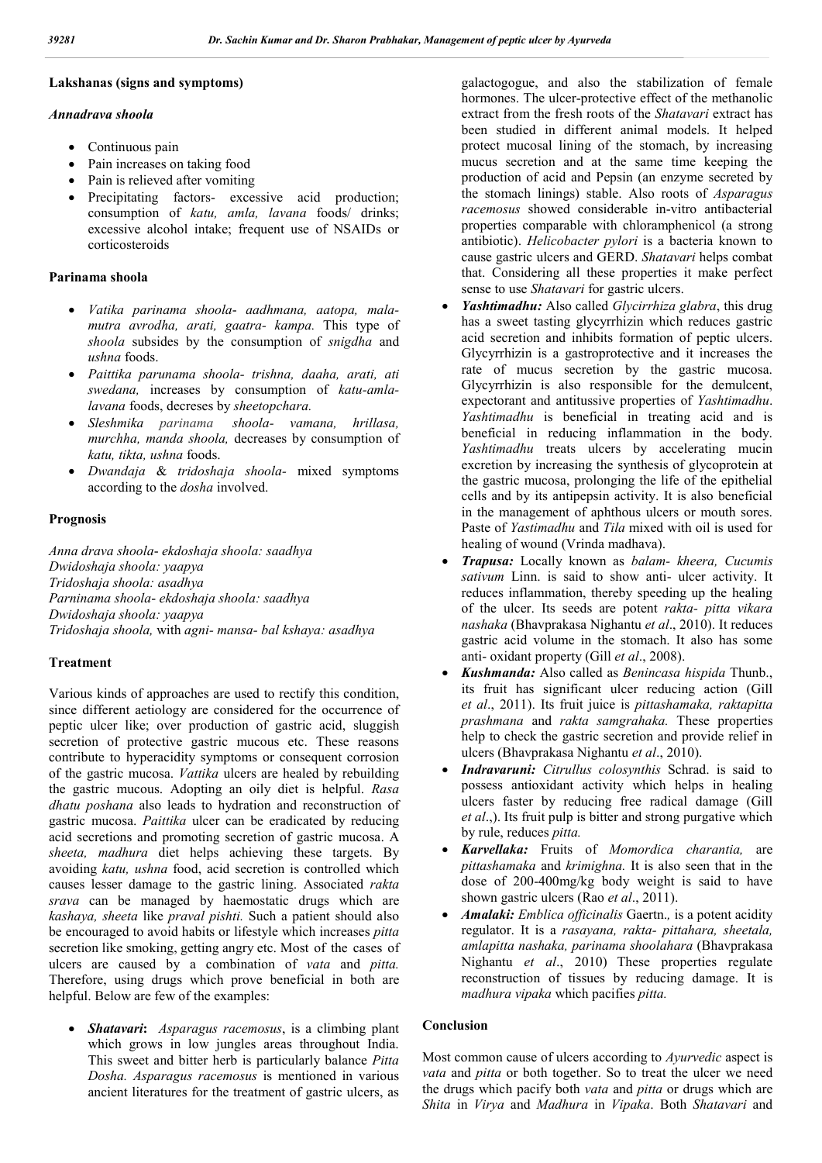# Lakshanas (signs and symptoms)

### *Annadrava shoola*

- Continuous pain
- Pain increases on taking food
- Pain is relieved after vomiting
- Precipitating factors- excessive acid production; consumption of *katu, amla, lavana* foods/ drinks; excessive alcohol intake; frequent use of NSAIDs or corticosteroids

## Parinama shoola

- *Vatika parinama shoola aadhmana, aatopa, malamutra avrodha, arati, gaatra- kampa.* This type of *shoola* subsides by the consumption of *snigdha* and *ushna* foods.
- *Paittika parunama shoola- trishna, daaha, arati, ati swedana,* increases by consumption of *katu-amlalavana* foods, decreses by *sheetopchara.*
- *Sleshmika parinama shoola- vamana, hrillasa, murchha, manda shoola,* decreases by consumption of *katu, tikta, ushna* foods.
- *Dwandaja* & *tridoshaja shoola-* mixed symptoms according to the *dosha* involved.

## Prognosis

*Anna drava shoola*- *ekdoshaja shoola: saadhya Dwidoshaja shoola: yaapya Tridoshaja shoola: asadhya Parninama shoola*- *ekdoshaja shoola: saadhya Dwidoshaja shoola: yaapya Tridoshaja shoola,* with *agni- mansa- bal kshaya: asadhya*

## Treatment

Various kinds of approaches are used to rectify this condition, since different aetiology are considered for the occurrence of peptic ulcer like; over production of gastric acid, sluggish secretion of protective gastric mucous etc. These reasons contribute to hyperacidity symptoms or consequent corrosion of the gastric mucosa. *Vattika* ulcers are healed by rebuilding the gastric mucous. Adopting an oily diet is helpful. *Rasa dhatu poshana* also leads to hydration and reconstruction of gastric mucosa. *Paittika* ulcer can be eradicated by reducing acid secretions and promoting secretion of gastric mucosa. A *sheeta, madhura* diet helps achieving these targets. By avoiding *katu, ushna* food, acid secretion is controlled which causes lesser damage to the gastric lining. Associated *rakta srava* can be managed by haemostatic drugs which are *kashaya, sheeta* like *praval pishti.* Such a patient should also be encouraged to avoid habits or lifestyle which increases *pitta*  secretion like smoking, getting angry etc. Most of the cases of ulcers are caused by a combination of *vata* and *pitta.*  Therefore, using drugs which prove beneficial in both are helpful. Below are few of the examples:

 *Shatavari*: *Asparagus racemosus*, is a climbing plant which grows in low jungles areas throughout India. This sweet and bitter herb is particularly balance *Pitta Dosha. Asparagus racemosus* is mentioned in various ancient literatures for the treatment of gastric ulcers, as

galactogogue, and also the stabilization of female hormones. The ulcer-protective effect of the methanolic extract from the fresh roots of the *Shatavari* extract has been studied in different animal models. It helped protect mucosal lining of the stomach, by increasing mucus secretion and at the same time keeping the production of acid and Pepsin (an enzyme secreted by the stomach linings) stable. Also roots of *Asparagus racemosus* showed considerable in-vitro antibacterial properties comparable with chloramphenicol (a strong antibiotic). *Helicobacter pylori* is a bacteria known to cause gastric ulcers and GERD. *Shatavari* helps combat that. Considering all these properties it make perfect sense to use *Shatavari* for gastric ulcers.

- *Yashtimadhu:* Also called *Glycirrhiza glabra*, this drug has a sweet tasting glycyrrhizin which reduces gastric acid secretion and inhibits formation of peptic ulcers. Glycyrrhizin is a gastroprotective and it increases the rate of mucus secretion by the gastric mucosa. Glycyrrhizin is also responsible for the demulcent, expectorant and antitussive properties of *Yashtimadhu*. *Yashtimadhu* is beneficial in treating acid and is beneficial in reducing inflammation in the body. *Yashtimadhu* treats ulcers by accelerating mucin excretion by increasing the synthesis of glycoprotein at the gastric mucosa, prolonging the life of the epithelial cells and by its antipepsin activity. It is also beneficial in the management of aphthous ulcers or mouth sores. Paste of *Yastimadhu* and *Tila* mixed with oil is used for healing of wound (Vrinda madhava).
- *Trapusa:* Locally known as *balam- kheera, Cucumis sativum* Linn. is said to show anti- ulcer activity. It reduces inflammation, thereby speeding up the healing of the ulcer. Its seeds are potent *rakta- pitta vikara nashaka* (Bhavprakasa Nighantu *et al*., 2010). It reduces gastric acid volume in the stomach. It also has some anti- oxidant property (Gill *et al*., 2008).
- *Kushmanda:* Also called as *Benincasa hispida* Thunb., its fruit has significant ulcer reducing action (Gill *et al*., 2011). Its fruit juice is *pittashamaka, raktapitta prashmana* and *rakta samgrahaka.* These properties help to check the gastric secretion and provide relief in ulcers (Bhavprakasa Nighantu *et al*., 2010).
- *Indravaruni: Citrullus colosynthis* Schrad. is said to possess antioxidant activity which helps in healing ulcers faster by reducing free radical damage (Gill *et al*.,). Its fruit pulp is bitter and strong purgative which by rule, reduces *pitta.*
- *Karvellaka:* Fruits of *Momordica charantia,* are *pittashamaka* and *krimighna.* It is also seen that in the dose of 200-400mg/kg body weight is said to have shown gastric ulcers (Rao *et al*., 2011).
- *Amalaki: Emblica officinalis* Gaertn.*,* is a potent acidity regulator. It is a *rasayana, rakta- pittahara, sheetala, amlapitta nashaka, parinama shoolahara* (Bhavprakasa Nighantu *et al*., 2010) These properties regulate reconstruction of tissues by reducing damage. It is *madhura vipaka* which pacifies *pitta.*

## Conclusion

Most common cause of ulcers according to *Ayurvedic* aspect is *vata* and *pitta* or both together. So to treat the ulcer we need the drugs which pacify both *vata* and *pitta* or drugs which are *Shita* in *Virya* and *Madhura* in *Vipaka*. Both *Shatavari* and